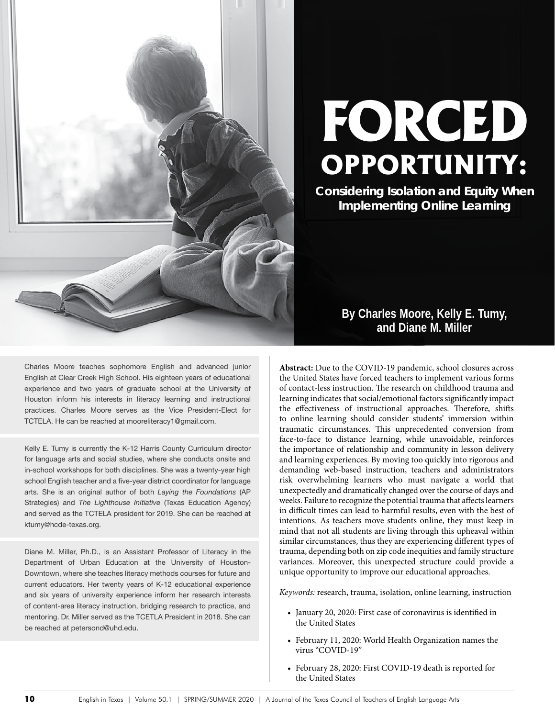

# **FORCED OPPORTUNITY:**

**Considering Isolation and Equity When Implementing Online Learning**

> **By Charles Moore, Kelly E. Tumy, and Diane M. Miller**

**Abstract:** Due to the COVID-19 pandemic, school closures across the United States have forced teachers to implement various forms of contact-less instruction. The research on childhood trauma and learning indicates that social/emotional factors significantly impact the effectiveness of instructional approaches. Therefore, shifts to online learning should consider students' immersion within traumatic circumstances. This unprecedented conversion from face-to-face to distance learning, while unavoidable, reinforces the importance of relationship and community in lesson delivery and learning experiences. By moving too quickly into rigorous and demanding web-based instruction, teachers and administrators risk overwhelming learners who must navigate a world that unexpectedly and dramatically changed over the course of days and weeks. Failure to recognize the potential trauma that affects learners in difficult times can lead to harmful results, even with the best of intentions. As teachers move students online, they must keep in mind that not all students are living through this upheaval within similar circumstances, thus they are experiencing different types of trauma, depending both on zip code inequities and family structure variances. Moreover, this unexpected structure could provide a unique opportunity to improve our educational approaches.

*Keywords:* research, trauma, isolation, online learning, instruction

- January 20, 2020: First case of coronavirus is identified in the United States
- February 11, 2020: World Health Organization names the virus "COVID-19"
- February 28, 2020: First COVID-19 death is reported for the United States

Charles Moore teaches sophomore English and advanced junior English at Clear Creek High School. His eighteen years of educational experience and two years of graduate school at the University of Houston inform his interests in literacy learning and instructional practices. Charles Moore serves as the Vice President-Elect for TCTELA. He can be reached at mooreliteracy1@gmail.com.

Kelly E. Tumy is currently the K-12 Harris County Curriculum director for language arts and social studies, where she conducts onsite and in-school workshops for both disciplines. She was a twenty-year high school English teacher and a five-year district coordinator for language arts. She is an original author of both *Laying the Foundations* (AP Strategies) and *The Lighthouse Initiative* (Texas Education Agency) and served as the TCTELA president for 2019. She can be reached at ktumy@hcde-texas.org.

Diane M. Miller, Ph.D., is an Assistant Professor of Literacy in the Department of Urban Education at the University of Houston-Downtown, where she teaches literacy methods courses for future and current educators. Her twenty years of K-12 educational experience and six years of university experience inform her research interests of content-area literacy instruction, bridging research to practice, and mentoring. Dr. Miller served as the TCETLA President in 2018. She can be reached at petersond@uhd.edu.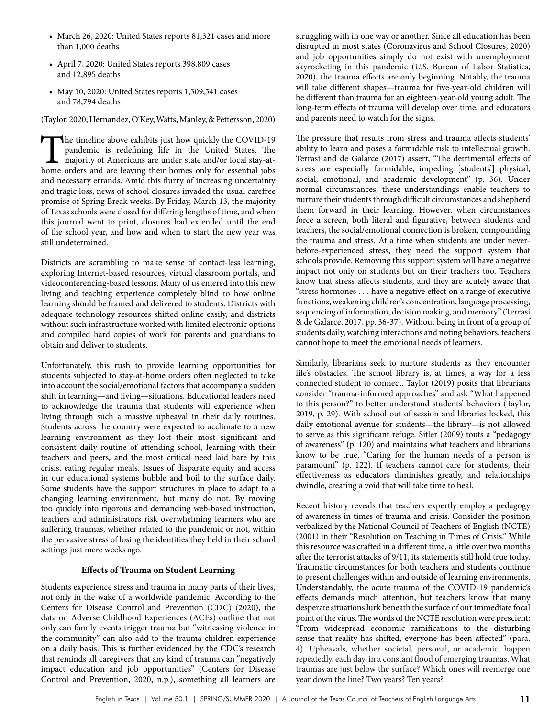- March 26, 2020: United States reports 81,321 cases and more than 1,000 deaths
- April 7, 2020: United States reports 398,809 cases and 12,895 deaths
- May 10, 2020: United States reports 1,309,541 cases and 78,794 deaths

(Taylor, 2020; Hernandez, O'Key, Watts, Manley, & Pettersson, 2020)

The timeline above exhibits just how quickly the COVID-19 pandemic is redefining life in the United States. The majority of Americans are under state and/or local stay-athome orders and are leaving their homes only for essential jobs and necessary errands. Amid this flurry of increasing uncertainty and tragic loss, news of school closures invaded the usual carefree promise of Spring Break weeks. By Friday, March 13, the majority of Texas schools were closed for differing lengths of time, and when this journal went to print, closures had extended until the end of the school year, and how and when to start the new year was still undetermined.

Districts are scrambling to make sense of contact-less learning, exploring Internet-based resources, virtual classroom portals, and videoconferencing-based lessons. Many of us entered into this new living and teaching experience completely blind to how online learning should be framed and delivered to students. Districts with adequate technology resources shifted online easily, and districts without such infrastructure worked with limited electronic options and compiled hard copies of work for parents and guardians to obtain and deliver to students.

Unfortunately, this rush to provide learning opportunities for students subjected to stay-at-home orders often neglected to take into account the social/emotional factors that accompany a sudden shift in learning—and living—situations. Educational leaders need to acknowledge the trauma that students will experience when living through such a massive upheaval in their daily routines. Students across the country were expected to acclimate to a new learning environment as they lost their most significant and consistent daily routine of attending school, learning with their teachers and peers, and the most critical need laid bare by this crisis, eating regular meals. Issues of disparate equity and access in our educational systems bubble and boil to the surface daily. Some students have the support structures in place to adapt to a changing learning environment, but many do not. By moving too quickly into rigorous and demanding web-based instruction, teachers and administrators risk overwhelming learners who are suffering traumas, whether related to the pandemic or not, within the pervasive stress of losing the identities they held in their school settings just mere weeks ago.

## **Effects of Trauma on Student Learning**

Students experience stress and trauma in many parts of their lives, not only in the wake of a worldwide pandemic. According to the Centers for Disease Control and Prevention (CDC) (2020), the data on Adverse Childhood Experiences (ACEs) outline that not only can family events trigger trauma but "witnessing violence in the community" can also add to the trauma children experience on a daily basis. This is further evidenced by the CDC's research that reminds all caregivers that any kind of trauma can "negatively impact education and job opportunities" (Centers for Disease Control and Prevention, 2020, n.p.), something all learners are

struggling with in one way or another. Since all education has been disrupted in most states (Coronavirus and School Closures, 2020) and job opportunities simply do not exist with unemployment skyrocketing in this pandemic (U.S. Bureau of Labor Statistics, 2020), the trauma effects are only beginning. Notably, the trauma will take different shapes—trauma for five-year-old children will be different than trauma for an eighteen-year-old young adult. The long-term effects of trauma will develop over time, and educators and parents need to watch for the signs.

The pressure that results from stress and trauma affects students' ability to learn and poses a formidable risk to intellectual growth. Terrasi and de Galarce (2017) assert, "The detrimental effects of stress are especially formidable, impeding [students'] physical, social, emotional, and academic development" (p. 36). Under normal circumstances, these understandings enable teachers to nurture their students through difficult circumstances and shepherd them forward in their learning. However, when circumstances force a screen, both literal and figurative, between students and teachers, the social/emotional connection is broken, compounding the trauma and stress. At a time when students are under neverbefore-experienced stress, they need the support system that schools provide. Removing this support system will have a negative impact not only on students but on their teachers too. Teachers know that stress affects students, and they are acutely aware that "stress hormones . . . have a negative effect on a range of executive functions, weakening children's concentration, language processing, sequencing of information, decision making, and memory" (Terrasi & de Galarce, 2017, pp. 36-37). Without being in front of a group of students daily, watching interactions and noting behaviors, teachers cannot hope to meet the emotional needs of learners.

Similarly, librarians seek to nurture students as they encounter life's obstacles. The school library is, at times, a way for a less connected student to connect. Taylor (2019) posits that librarians consider "trauma-informed approaches" and ask "What happened to this person?" to better understand students' behaviors (Taylor, 2019, p. 29). With school out of session and libraries locked, this daily emotional avenue for students—the library—is not allowed to serve as this significant refuge. Sitler (2009) touts a "pedagogy of awareness" (p. 120) and maintains what teachers and librarians know to be true, "Caring for the human needs of a person is paramount" (p. 122). If teachers cannot care for students, their effectiveness as educators diminishes greatly, and relationships dwindle, creating a void that will take time to heal.

Recent history reveals that teachers expertly employ a pedagogy of awareness in times of trauma and crisis. Consider the position verbalized by the National Council of Teachers of English (NCTE) (2001) in their "Resolution on Teaching in Times of Crisis." While this resource was crafted in a different time, a little over two months after the terrorist attacks of 9/11, its statements still hold true today. Traumatic circumstances for both teachers and students continue to present challenges within and outside of learning environments. Understandably, the acute trauma of the COVID-19 pandemic's effects demands much attention, but teachers know that many desperate situations lurk beneath the surface of our immediate focal point of the virus. The words of the NCTE resolution were prescient: "From widespread economic ramifications to the disturbing sense that reality has shifted, everyone has been affected" (para. 4). Upheavals, whether societal, personal, or academic, happen repeatedly, each day, in a constant flood of emerging traumas. What traumas are just below the surface? Which ones will reemerge one year down the line? Two years? Ten years?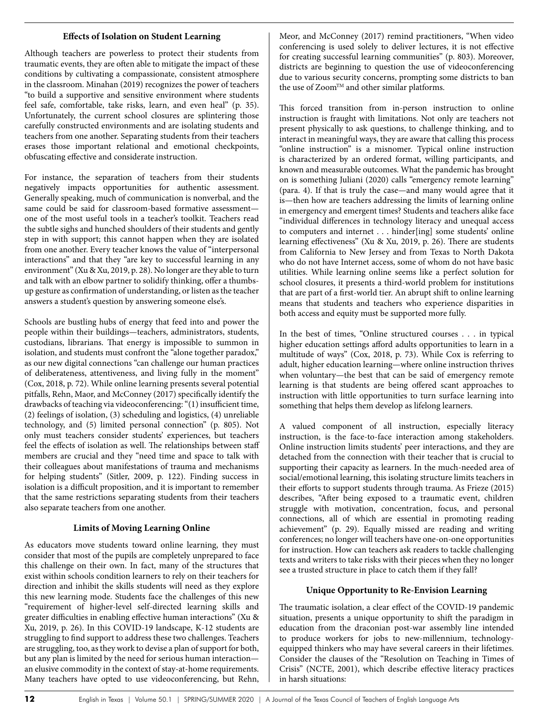#### **Effects of Isolation on Student Learning**

Although teachers are powerless to protect their students from traumatic events, they are often able to mitigate the impact of these conditions by cultivating a compassionate, consistent atmosphere in the classroom. Minahan (2019) recognizes the power of teachers "to build a supportive and sensitive environment where students feel safe, comfortable, take risks, learn, and even heal" (p. 35). Unfortunately, the current school closures are splintering those carefully constructed environments and are isolating students and teachers from one another. Separating students from their teachers erases those important relational and emotional checkpoints, obfuscating effective and considerate instruction.

For instance, the separation of teachers from their students negatively impacts opportunities for authentic assessment. Generally speaking, much of communication is nonverbal, and the same could be said for classroom-based formative assessment one of the most useful tools in a teacher's toolkit. Teachers read the subtle sighs and hunched shoulders of their students and gently step in with support; this cannot happen when they are isolated from one another. Every teacher knows the value of "interpersonal interactions" and that they "are key to successful learning in any environment" (Xu & Xu, 2019, p. 28). No longer are they able to turn and talk with an elbow partner to solidify thinking, offer a thumbsup gesture as confirmation of understanding, or listen as the teacher answers a student's question by answering someone else's.

Schools are bustling hubs of energy that feed into and power the people within their buildings—teachers, administrators, students, custodians, librarians. That energy is impossible to summon in isolation, and students must confront the "alone together paradox," as our new digital connections "can challenge our human practices of deliberateness, attentiveness, and living fully in the moment" (Cox, 2018, p. 72). While online learning presents several potential pitfalls, Rehn, Maor, and McConney (2017) specifically identify the drawbacks of teaching via videoconferencing: "(1) insufficient time, (2) feelings of isolation, (3) scheduling and logistics, (4) unreliable technology, and (5) limited personal connection" (p. 805). Not only must teachers consider students' experiences, but teachers feel the effects of isolation as well. The relationships between staff members are crucial and they "need time and space to talk with their colleagues about manifestations of trauma and mechanisms for helping students" (Sitler, 2009, p. 122). Finding success in isolation is a difficult proposition, and it is important to remember that the same restrictions separating students from their teachers also separate teachers from one another.

## **Limits of Moving Learning Online**

As educators move students toward online learning, they must consider that most of the pupils are completely unprepared to face this challenge on their own. In fact, many of the structures that exist within schools condition learners to rely on their teachers for direction and inhibit the skills students will need as they explore this new learning mode. Students face the challenges of this new "requirement of higher-level self-directed learning skills and greater difficulties in enabling effective human interactions" (Xu & Xu, 2019, p. 26). In this COVID-19 landscape, K-12 students are struggling to find support to address these two challenges. Teachers are struggling, too, as they work to devise a plan of support for both, but any plan is limited by the need for serious human interaction an elusive commodity in the context of stay-at-home requirements. Many teachers have opted to use videoconferencing, but Rehn, Meor, and McConney (2017) remind practitioners, "When video conferencing is used solely to deliver lectures, it is not effective for creating successful learning communities" (p. 803). Moreover, districts are beginning to question the use of videoconferencing due to various security concerns, prompting some districts to ban the use of Zoom<sup>TM</sup> and other similar platforms.

This forced transition from in-person instruction to online instruction is fraught with limitations. Not only are teachers not present physically to ask questions, to challenge thinking, and to interact in meaningful ways, they are aware that calling this process "online instruction" is a misnomer. Typical online instruction is characterized by an ordered format, willing participants, and known and measurable outcomes. What the pandemic has brought on is something Juliani (2020) calls "emergency remote learning" (para. 4). If that is truly the case—and many would agree that it is—then how are teachers addressing the limits of learning online in emergency and emergent times? Students and teachers alike face "individual differences in technology literacy and unequal access to computers and internet . . . hinder[ing] some students' online learning effectiveness" (Xu & Xu, 2019, p. 26). There are students from California to New Jersey and from Texas to North Dakota who do not have Internet access, some of whom do not have basic utilities. While learning online seems like a perfect solution for school closures, it presents a third-world problem for institutions that are part of a first-world tier. An abrupt shift to online learning means that students and teachers who experience disparities in both access and equity must be supported more fully.

In the best of times, "Online structured courses . . . in typical higher education settings afford adults opportunities to learn in a multitude of ways" (Cox, 2018, p. 73). While Cox is referring to adult, higher education learning—where online instruction thrives when voluntary—the best that can be said of emergency remote learning is that students are being offered scant approaches to instruction with little opportunities to turn surface learning into something that helps them develop as lifelong learners.

A valued component of all instruction, especially literacy instruction, is the face-to-face interaction among stakeholders. Online instruction limits students' peer interactions, and they are detached from the connection with their teacher that is crucial to supporting their capacity as learners. In the much-needed area of social/emotional learning, this isolating structure limits teachers in their efforts to support students through trauma. As Frieze (2015) describes, "After being exposed to a traumatic event, children struggle with motivation, concentration, focus, and personal connections, all of which are essential in promoting reading achievement" (p. 29). Equally missed are reading and writing conferences; no longer will teachers have one-on-one opportunities for instruction. How can teachers ask readers to tackle challenging texts and writers to take risks with their pieces when they no longer see a trusted structure in place to catch them if they fall?

# **Unique Opportunity to Re-Envision Learning**

The traumatic isolation, a clear effect of the COVID-19 pandemic situation, presents a unique opportunity to shift the paradigm in education from the draconian post-war assembly line intended to produce workers for jobs to new-millennium, technologyequipped thinkers who may have several careers in their lifetimes. Consider the clauses of the "Resolution on Teaching in Times of Crisis" (NCTE, 2001), which describe effective literacy practices in harsh situations: